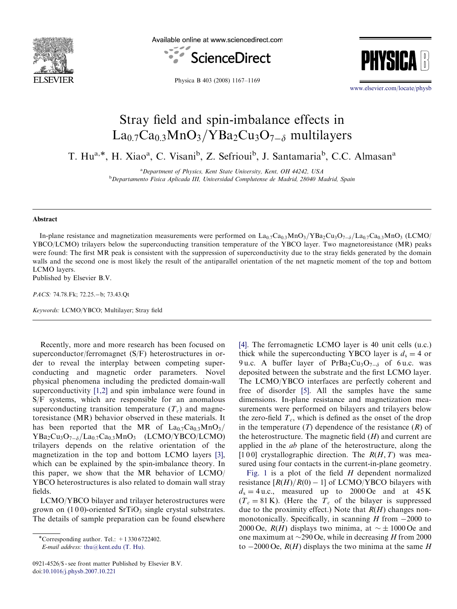

Available online at www.sciencedirect.com



PHYSIC

Physica B 403 (2008) 1167–1169

<www.elsevier.com/locate/physb>

## Stray field and spin-imbalance effects in  $\rm La_{0.7}Ca_{0.3}MnO_3/YBa_2Cu_3O_{7-\delta}$  multilayers

T. Hu<sup>a,\*</sup>, H. Xiao<sup>a</sup>, C. Visani<sup>b</sup>, Z. Sefrioui<sup>b</sup>, J. Santamaria<sup>b</sup>, C.C. Almasan<sup>a</sup>

<sup>a</sup> Department of Physics, Kent State University, Kent, OH 44242, USA <sup>b</sup>Departamento Fisica Aplicada III, Universidad Complutense de Madrid, 28040 Madrid, Spain

## Abstract

In-plane resistance and magnetization measurements were performed on  $La_{0.7}Ca_{0.3}MnO_3/YBa_2Cu_3O_{7-\delta}/La_{0.7}Ca_{0.3}MnO_3$  (LCMO/ YBCO/LCMO) trilayers below the superconducting transition temperature of the YBCO layer. Two magnetoresistance (MR) peaks were found: The first MR peak is consistent with the suppression of superconductivity due to the stray fields generated by the domain walls and the second one is most likely the result of the antiparallel orientation of the net magnetic moment of the top and bottom LCMO layers.

Published by Elsevier B.V.

PACS: 74.78.Fk; 72.25.-b; 73.43.Qt

Keywords: LCMO/YBCO; Multilayer; Stray field

Recently, more and more research has been focused on superconductor/ferromagnet (S/F) heterostructures in order to reveal the interplay between competing superconducting and magnetic order parameters. Novel physical phenomena including the predicted domain-wall superconductivity [\[1,2\]](#page-2-0) and spin imbalance were found in S/F systems, which are responsible for an anomalous superconducting transition temperature  $(T_c)$  and magnetoresistance (MR) behavior observed in these materials. It has been reported that the MR of  $La_{0.7}Ca_{0.3}MnO_3/$  $YBa_2Cu_3O_{7-\delta}/La_{0.7}Ca_{0.3}MnO_3$  (LCMO/YBCO/LCMO) trilayers depends on the relative orientation of the magnetization in the top and bottom LCMO layers [\[3\],](#page-2-0) which can be explained by the spin-imbalance theory. In this paper, we show that the MR behavior of LCMO/ YBCO heterostructures is also related to domain wall stray fields.

LCMO/YBCO bilayer and trilayer heterostructures were grown on  $(100)$ -oriented SrTiO<sub>3</sub> single crystal substrates. The details of sample preparation can be found elsewhere [\[4\].](#page-2-0) The ferromagnetic LCMO layer is 40 unit cells (u.c.) thick while the superconducting YBCO layer is  $d_s = 4$  or 9 u.c. A buffer layer of  $PrBa_2Cu_3O_{7-\delta}$  of 6 u.c. was deposited between the substrate and the first LCMO layer. The LCMO/YBCO interfaces are perfectly coherent and free of disorder [\[5\]](#page-2-0). All the samples have the same dimensions. In-plane resistance and magnetization measurements were performed on bilayers and trilayers below the zero-field  $T_c$ , which is defined as the onset of the drop in the temperature  $(T)$  dependence of the resistance  $(R)$  of the heterostructure. The magnetic field  $(H)$  and current are applied in the ab plane of the heterostructure, along the [100] crystallographic direction. The  $R(H, T)$  was measured using four contacts in the current-in-plane geometry.

[Fig. 1](#page-1-0) is a plot of the field  $H$  dependent normalized resistance  $\left[ R(H)/R(0) - 1 \right]$  of LCMO/YBCO bilayers with  $d_s = 4$  u.c., measured up to 2000 Oe and at 45 K  $(T_c = 81 \text{ K})$ . (Here the  $T_c$  of the bilayer is suppressed due to the proximity effect.) Note that  $R(H)$  changes nonmonotonically. Specifically, in scanning  $H$  from  $-2000$  to 2000 Oe,  $R(H)$  displays two minima, at  $\sim \pm 1000$  Oe and one maximum at  $\sim$ 290 Oe, while in decreasing H from 2000 to  $-2000 \text{ Oe}$ ,  $R(H)$  displays the two minima at the same H

 $\overline{\text{``Corresponding author. Tel.:}}$  + 1 330 6722402.

E-mail address: [thu@kent.edu \(T. Hu\).](mailto:thu@kent.edu)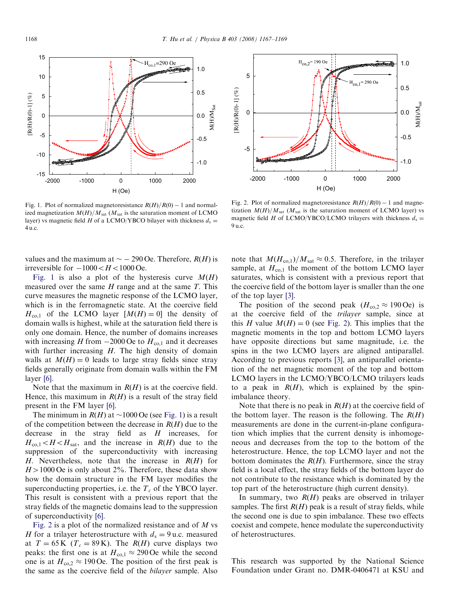<span id="page-1-0"></span>

Fig. 1. Plot of normalized magnetoresistance  $R(H)/R(0) - 1$  and normalized magnetization  $M(H)/M<sub>sat</sub>$  ( $M<sub>sat</sub>$  is the saturation moment of LCMO layer) vs magnetic field H of a LCMO/YBCO bilayer with thickness  $d_s =$ 4 u:c:

values and the maximum at  $\sim$  - 290 Oe. Therefore,  $R(H)$  is irreversible for  $-1000 < H < 1000$  Oe.

Fig. 1 is also a plot of the hysteresis curve  $M(H)$ measured over the same  $H$  range and at the same  $T$ . This curve measures the magnetic response of the LCMO layer, which is in the ferromagnetic state. At the coercive field  $H_{\text{col}}$  of the LCMO layer  $[M(H) = 0]$  the density of domain walls is highest, while at the saturation field there is only one domain. Hence, the number of domains increases with increasing H from  $-2000$  Oe to  $H_{\text{co,1}}$  and it decreases with further increasing H. The high density of domain walls at  $M(H) = 0$  leads to large stray fields since stray fields generally originate from domain walls within the FM layer [\[6\]](#page-2-0).

Note that the maximum in  $R(H)$  is at the coercive field. Hence, this maximum in  $R(H)$  is a result of the stray field present in the FM layer [\[6\]](#page-2-0).

The minimum in  $R(H)$  at  $\sim$ 1000 Oe (see Fig. 1) is a result of the competition between the decrease in  $R(H)$  due to the decrease in the stray field as  $H$  increases, for  $H_{\text{co,1}} < H < H_{\text{sat}}$ , and the increase in  $R(H)$  due to the suppression of the superconductivity with increasing H. Nevertheless, note that the increase in  $R(H)$  for  $H > 1000$  Oe is only about 2%. Therefore, these data show how the domain structure in the FM layer modifies the superconducting properties, i.e. the  $T_c$  of the YBCO layer. This result is consistent with a previous report that the stray fields of the magnetic domains lead to the suppression of superconductivity [\[6\]](#page-2-0).

Fig. 2 is a plot of the normalized resistance and of  $M$  vs H for a trilayer heterostructure with  $d_s = 9$  u.c. measured at  $T = 65 \text{ K}$  ( $T_c = 89 \text{ K}$ ). The  $R(H)$  curve displays two peaks: the first one is at  $H_{\text{co,1}} \approx 290 \,\text{Oe}$  while the second one is at  $H_{\text{co,2}} \approx 190 \,\text{Oe}$ . The position of the first peak is the same as the coercive field of the bilayer sample. Also



Fig. 2. Plot of normalized magnetoresistance  $R(H)/R(0) - 1$  and magnetization  $M(H)/M_{sat}$  ( $M_{sat}$  is the saturation moment of LCMO layer) vs magnetic field H of LCMO/YBCO/LCMO trilayers with thickness  $d_s =$ 9 u:c:

note that  $M(H_{\text{co,1}})/M_{\text{sat}} \approx 0.5$ . Therefore, in the trilayer sample, at  $H_{\text{co,1}}$  the moment of the bottom LCMO layer saturates, which is consistent with a previous report that the coercive field of the bottom layer is smaller than the one of the top layer [\[3\].](#page-2-0)

The position of the second peak  $(H_{\text{co,2}} \approx 190 \text{ Oe})$  is at the coercive field of the trilayer sample, since at this H value  $M(H) = 0$  (see Fig. 2). This implies that the magnetic moments in the top and bottom LCMO layers have opposite directions but same magnitude, i.e. the spins in the two LCMO layers are aligned antiparallel. According to previous reports [\[3\],](#page-2-0) an antiparallel orientation of the net magnetic moment of the top and bottom LCMO layers in the LCMO/YBCO/LCMO trilayers leads to a peak in  $R(H)$ , which is explained by the spinimbalance theory.

Note that there is no peak in  $R(H)$  at the coercive field of the bottom layer. The reason is the following. The  $R(H)$ measurements are done in the current-in-plane configuration which implies that the current density is inhomogeneous and decreases from the top to the bottom of the heterostructure. Hence, the top LCMO layer and not the bottom dominates the  $R(H)$ . Furthermore, since the stray field is a local effect, the stray fields of the bottom layer do not contribute to the resistance which is dominated by the top part of the heterostructure (high current density).

In summary, two  $R(H)$  peaks are observed in trilayer samples. The first  $R(H)$  peak is a result of stray fields, while the second one is due to spin imbalance. These two effects coexist and compete, hence modulate the superconductivity of heterostructures.

This research was supported by the National Science Foundation under Grant no. DMR-0406471 at KSU and